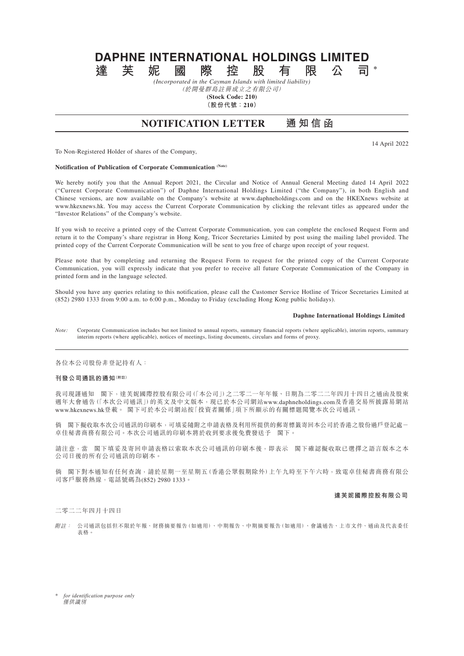# **DAPHNE INTERNATIONAL HOLDINGS LIMITED 達芙妮國際控股有限公司 \***

*(Incorporated in the Cayman Islands with limited liability)*

(於開曼群島註冊成立之有限公司) **(Stock Code: 210)**

**(股份代號:210)**

# **NOTIFICATION LETTER 通知信函**

14 April 2022

To Non-Registered Holder of shares of the Company,

## **Notification of Publication of Corporate Communication (Note)**

We hereby notify you that the Annual Report 2021, the Circular and Notice of Annual General Meeting dated 14 April 2022 ("Current Corporate Communication") of Daphne International Holdings Limited ("the Company"), in both English and Chinese versions, are now available on the Company's website at www.daphneholdings.com and on the HKEXnews website at www.hkexnews.hk. You may access the Current Corporate Communication by clicking the relevant titles as appeared under the "Investor Relations" of the Company's website.

If you wish to receive a printed copy of the Current Corporate Communication, you can complete the enclosed Request Form and return it to the Company's share registrar in Hong Kong, Tricor Secretaries Limited by post using the mailing label provided. The printed copy of the Current Corporate Communication will be sent to you free of charge upon receipt of your request.

Please note that by completing and returning the Request Form to request for the printed copy of the Current Corporate Communication, you will expressly indicate that you prefer to receive all future Corporate Communication of the Company in printed form and in the language selected.

Should you have any queries relating to this notification, please call the Customer Service Hotline of Tricor Secretaries Limited at (852) 2980 1333 from 9:00 a.m. to 6:00 p.m., Monday to Friday (excluding Hong Kong public holidays).

#### **Daphne International Holdings Limited**

*Note:* Corporate Communication includes but not limited to annual reports, summary financial reports (where applicable), interim reports, summary interim reports (where applicable), notices of meetings, listing documents, circulars and forms of proxy.

各位本公司股份非登記持有人:

## **刊發公司通訊的通知(附註)**

我司現謹通知 閣下,達芙妮國際控股有限公司(「本公司」)之二零二一年年報、日期為二零二二年四月十四日之通函及股東 週年大會通告(「本次公司通訊」)的英文及中文版本,現已於本公司網站www.daphneholdings.com及香港交易所披露易網站 www.hkexnews.hk登載。 閣下可於本公司網站按「投資者關係」項下所顯示的有關標題閱覽本次公司通訊。

倘 閣下擬收取本次公司通訊的印刷本,可填妥隨附之申請表格及利用所提供的郵寄標籤寄回本公司於香港之股份過戶登記處- 卓佳秘書商務有限公司。本次公司通訊的印刷本將於收到要求後免費發送予 閣下。

請注意,當 閣下填妥及寄回申請表格以索取本次公司通訊的印刷本後,即表示 閣下確認擬收取已選擇之語言版本之本 公司日後的所有公司通訊的印刷本。

倘 閣下對本通知有任何查詢,請於星期一至星期五(香港公眾假期除外)上午九時至下午六時,致電卓佳秘書商務有限公 司客戶服務熱線,電話號碼為(852) 2980 1333。

#### **達芙妮國際控股有限公司**

二零二二年四月十四日

附註: 公司通訊包括但不限於年報、財務摘要報告(如適用)、中期報告、中期摘要報告(如適用)、會議通告、上市文件、通函及代表委任 表格。

\* *for identification purpose only* 僅供識別